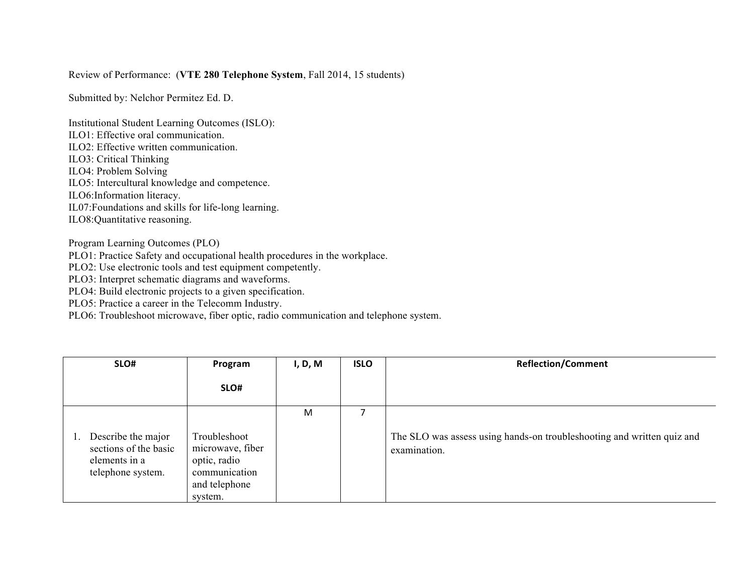## Review of Performance: (**VTE 280 Telephone System**, Fall 2014, 15 students)

Submitted by: Nelchor Permitez Ed. D.

Institutional Student Learning Outcomes (ISLO): ILO1: Effective oral communication.

ILO2: Effective written communication.

ILO3: Critical Thinking

ILO4: Problem Solving

ILO5: Intercultural knowledge and competence.

ILO6:Information literacy.

IL07:Foundations and skills for life-long learning.

ILO8:Quantitative reasoning.

Program Learning Outcomes (PLO)

PLO1: Practice Safety and occupational health procedures in the workplace.

PLO2: Use electronic tools and test equipment competently.

PLO3: Interpret schematic diagrams and waveforms.

PLO4: Build electronic projects to a given specification.

PLO5: Practice a career in the Telecomm Industry.

PLO6: Troubleshoot microwave, fiber optic, radio communication and telephone system.

| SLO#                                                                              | Program                                                                                       | I, D, M | <b>ISLO</b> | <b>Reflection/Comment</b>                                                              |  |
|-----------------------------------------------------------------------------------|-----------------------------------------------------------------------------------------------|---------|-------------|----------------------------------------------------------------------------------------|--|
|                                                                                   | SLO#                                                                                          |         |             |                                                                                        |  |
| Describe the major<br>sections of the basic<br>elements in a<br>telephone system. | Troubleshoot<br>microwave, fiber<br>optic, radio<br>communication<br>and telephone<br>system. | M       |             | The SLO was assess using hands-on troubleshooting and written quiz and<br>examination. |  |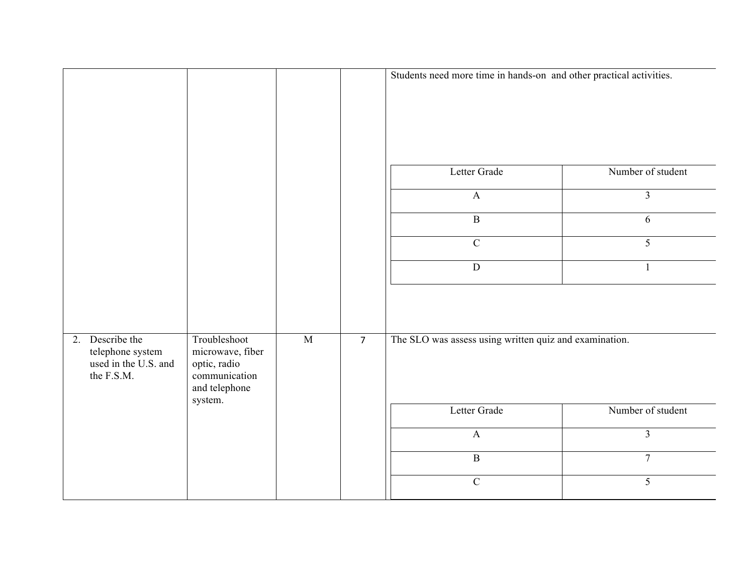|                                                                           |                                                                                               |                |                | Students need more time in hands-on and other practical activities. |                   |  |
|---------------------------------------------------------------------------|-----------------------------------------------------------------------------------------------|----------------|----------------|---------------------------------------------------------------------|-------------------|--|
|                                                                           |                                                                                               |                |                |                                                                     |                   |  |
|                                                                           |                                                                                               |                |                | Letter Grade                                                        | Number of student |  |
|                                                                           |                                                                                               |                |                | $\mathbf{A}$                                                        | $\overline{3}$    |  |
|                                                                           |                                                                                               |                |                | $\overline{B}$                                                      | 6                 |  |
|                                                                           |                                                                                               |                |                | $\overline{C}$                                                      | 5                 |  |
|                                                                           |                                                                                               |                |                | $\overline{D}$                                                      | $\mathbf{1}$      |  |
|                                                                           |                                                                                               |                |                |                                                                     |                   |  |
| 2. Describe the<br>telephone system<br>used in the U.S. and<br>the F.S.M. | Troubleshoot<br>microwave, fiber<br>optic, radio<br>communication<br>and telephone<br>system. | $\overline{M}$ | $\overline{7}$ | The SLO was assess using written quiz and examination.              |                   |  |
|                                                                           |                                                                                               |                |                | Letter Grade                                                        | Number of student |  |
|                                                                           |                                                                                               |                |                | $\boldsymbol{\mathsf{A}}$                                           | $\overline{3}$    |  |
|                                                                           |                                                                                               |                |                | $\overline{B}$                                                      | $\overline{7}$    |  |
|                                                                           |                                                                                               |                |                | $\overline{C}$                                                      | 5                 |  |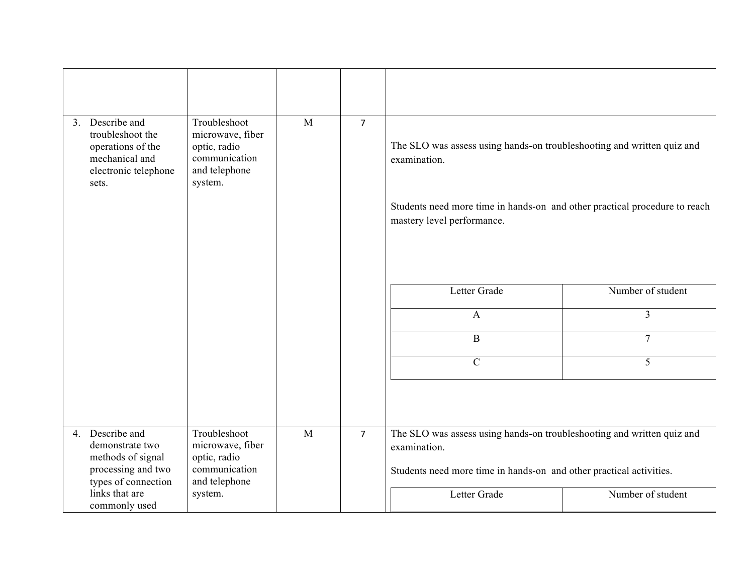| 3. Describe and<br>troubleshoot the<br>operations of the<br>mechanical and<br>electronic telephone<br>sets. | Troubleshoot<br>microwave, fiber<br>optic, radio<br>communication<br>and telephone<br>system. | M | $\overline{7}$ | The SLO was assess using hands-on troubleshooting and written quiz and<br>examination.<br>Students need more time in hands-on and other practical procedure to reach |                   |
|-------------------------------------------------------------------------------------------------------------|-----------------------------------------------------------------------------------------------|---|----------------|----------------------------------------------------------------------------------------------------------------------------------------------------------------------|-------------------|
|                                                                                                             |                                                                                               |   |                | mastery level performance.                                                                                                                                           |                   |
|                                                                                                             |                                                                                               |   |                | Letter Grade                                                                                                                                                         | Number of student |
|                                                                                                             |                                                                                               |   |                | $\mathbf{A}$                                                                                                                                                         | $\overline{3}$    |
|                                                                                                             |                                                                                               |   |                | $\, {\bf B}$                                                                                                                                                         | $\overline{7}$    |
|                                                                                                             |                                                                                               |   |                | $\mathcal{C}$                                                                                                                                                        | 5                 |
|                                                                                                             |                                                                                               |   |                |                                                                                                                                                                      |                   |
| 4. Describe and<br>demonstrate two                                                                          | Troubleshoot<br>microwave, fiber                                                              | M | $\overline{7}$ | The SLO was assess using hands-on troubleshooting and written quiz and<br>examination.                                                                               |                   |
| methods of signal                                                                                           | optic, radio                                                                                  |   |                |                                                                                                                                                                      |                   |
| processing and two<br>types of connection                                                                   | communication<br>and telephone                                                                |   |                | Students need more time in hands-on and other practical activities.                                                                                                  |                   |
| links that are<br>commonly used                                                                             | system.                                                                                       |   |                | Letter Grade                                                                                                                                                         | Number of student |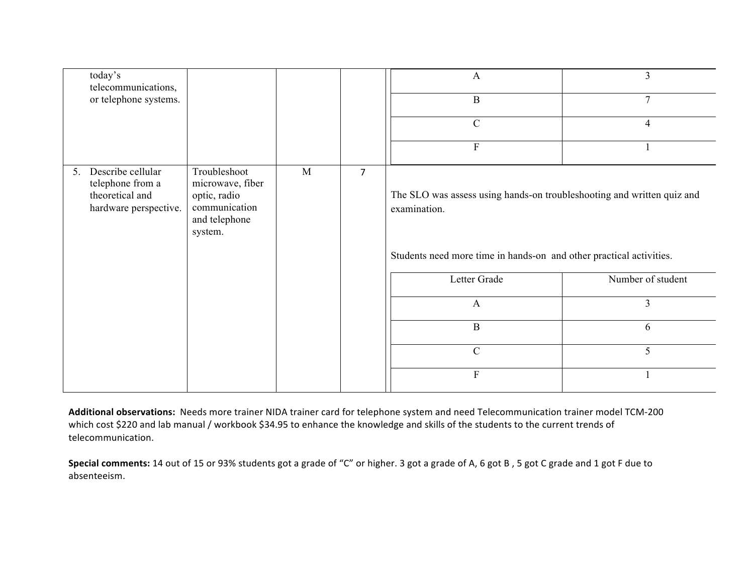| today's<br>telecommunications,                                                          |                                                                                               |   |                | A                                                                                                                                                             | $\overline{3}$    |  |
|-----------------------------------------------------------------------------------------|-----------------------------------------------------------------------------------------------|---|----------------|---------------------------------------------------------------------------------------------------------------------------------------------------------------|-------------------|--|
| or telephone systems.                                                                   |                                                                                               |   |                | $\bf{B}$                                                                                                                                                      | $\tau$            |  |
|                                                                                         |                                                                                               |   |                | $\mathcal{C}$                                                                                                                                                 | $\overline{4}$    |  |
|                                                                                         |                                                                                               |   |                | ${\bf F}$                                                                                                                                                     |                   |  |
| Describe cellular<br>5.<br>telephone from a<br>theoretical and<br>hardware perspective. | Troubleshoot<br>microwave, fiber<br>optic, radio<br>communication<br>and telephone<br>system. | M | $\overline{7}$ | The SLO was assess using hands-on troubleshooting and written quiz and<br>examination.<br>Students need more time in hands-on and other practical activities. |                   |  |
|                                                                                         |                                                                                               |   |                | Letter Grade                                                                                                                                                  | Number of student |  |
|                                                                                         |                                                                                               |   |                | $\mathbf{A}$                                                                                                                                                  | $\overline{3}$    |  |
|                                                                                         |                                                                                               |   |                | $\, {\bf B}$                                                                                                                                                  | 6                 |  |
|                                                                                         |                                                                                               |   |                | $\mathbf C$                                                                                                                                                   | 5                 |  |
|                                                                                         |                                                                                               |   |                | ${\bf F}$                                                                                                                                                     |                   |  |

Additional observations: Needs more trainer NIDA trainer card for telephone system and need Telecommunication trainer model TCM-200 which cost \$220 and lab manual / workbook \$34.95 to enhance the knowledge and skills of the students to the current trends of telecommunication. 

Special comments: 14 out of 15 or 93% students got a grade of "C" or higher. 3 got a grade of A, 6 got B, 5 got C grade and 1 got F due to absenteeism.